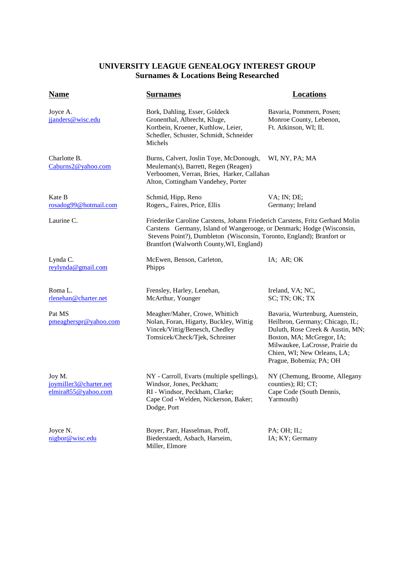## **UNIVERSITY LEAGUE GENEALOGY INTEREST GROUP Surnames & Locations Being Researched**

| <b>Name</b>                                             | <b>Surnames</b>                                                                                                                                                                                                                                                             | <b>Locations</b>                                                                                                                                                                                                                 |
|---------------------------------------------------------|-----------------------------------------------------------------------------------------------------------------------------------------------------------------------------------------------------------------------------------------------------------------------------|----------------------------------------------------------------------------------------------------------------------------------------------------------------------------------------------------------------------------------|
| Joyce A.<br>jjanders@wisc.edu                           | Bork, Dahling, Esser, Goldeck<br>Gronenthal, Albrecht, Kluge,<br>Kortbein, Kroener, Kuthlow, Leier,<br>Schedler, Schuster, Schmidt, Schneider<br>Michels                                                                                                                    | Bavaria, Pommern, Posen;<br>Monroe County, Lebenon,<br>Ft. Atkinson, WI; IL                                                                                                                                                      |
| Charlotte B.<br>Caburns2@yahoo.com                      | Burns, Calvert, Joslin Toye, McDonough,<br>Meuleman(s), Barrett, Regen (Reagen)<br>Verboomen, Verran, Bries, Harker, Callahan<br>Alton, Cottingham Vandehey, Porter                                                                                                         | WI, NY, PA; MA                                                                                                                                                                                                                   |
| Kate B<br>rosadog99@hotmail.com                         | Schmid, Hipp, Reno<br>Rogers, Faires, Price, Ellis                                                                                                                                                                                                                          | VA; IN; DE;<br>Germany; Ireland                                                                                                                                                                                                  |
| Laurine C.                                              | Friederike Caroline Carstens, Johann Friederich Carstens, Fritz Gerhard Molin<br>Carstens Germany, Island of Wangerooge, or Denmark; Hodge (Wisconsin,<br>Stevens Point?), Dumbleton (Wisconsin, Toronto, England); Branfort or<br>Brantfort (Walworth County, WI, England) |                                                                                                                                                                                                                                  |
| Lynda C.<br>reylynda@gmail.com                          | McEwen, Benson, Carleton,<br>Phipps                                                                                                                                                                                                                                         | IA; AR; OK                                                                                                                                                                                                                       |
| Roma L.<br>rlenehan@charter.net                         | Frensley, Harley, Lenehan,<br>McArthur, Younger                                                                                                                                                                                                                             | Ireland, VA; NC,<br>SC; TN; OK; TX                                                                                                                                                                                               |
| Pat MS<br>pmeagherspr@yahoo.com                         | Meagher/Maher, Crowe, Whittich<br>Nolan, Foran, Higarty, Buckley, Wittig<br>Vincek/Vittig/Benesch, Chedley<br>Tomsicek/Check/Tjek, Schreiner                                                                                                                                | Bavaria, Wurtenburg, Auenstein,<br>Heilbron, Germany; Chicago, IL;<br>Duluth, Rose Creek & Austin, MN;<br>Boston, MA; McGregor, IA;<br>Milwaukee, LaCrosse, Prairie du<br>Chien, WI; New Orleans, LA;<br>Prague, Bohemia; PA; OH |
| Joy M.<br>joymiller3@charter.net<br>elmira855@yahoo.com | NY - Carroll, Evarts (multiple spellings),<br>Windsor, Jones, Peckham;<br>RI - Windsor, Peckham, Clarke;<br>Cape Cod - Welden, Nickerson, Baker;<br>Dodge, Port                                                                                                             | NY (Chemung, Broome, Allegany<br>counties); RI; CT;<br>Cape Code (South Dennis,<br>Yarmouth)                                                                                                                                     |
| Joyce N.<br>nigbor@wisc.edu                             | Boyer, Parr, Hasselman, Proff,<br>Biederstaedt, Asbach, Harseim,<br>Miller, Elmore                                                                                                                                                                                          | $PA$ ; $OH$ ; $IL$ ;<br>IA; KY; Germany                                                                                                                                                                                          |